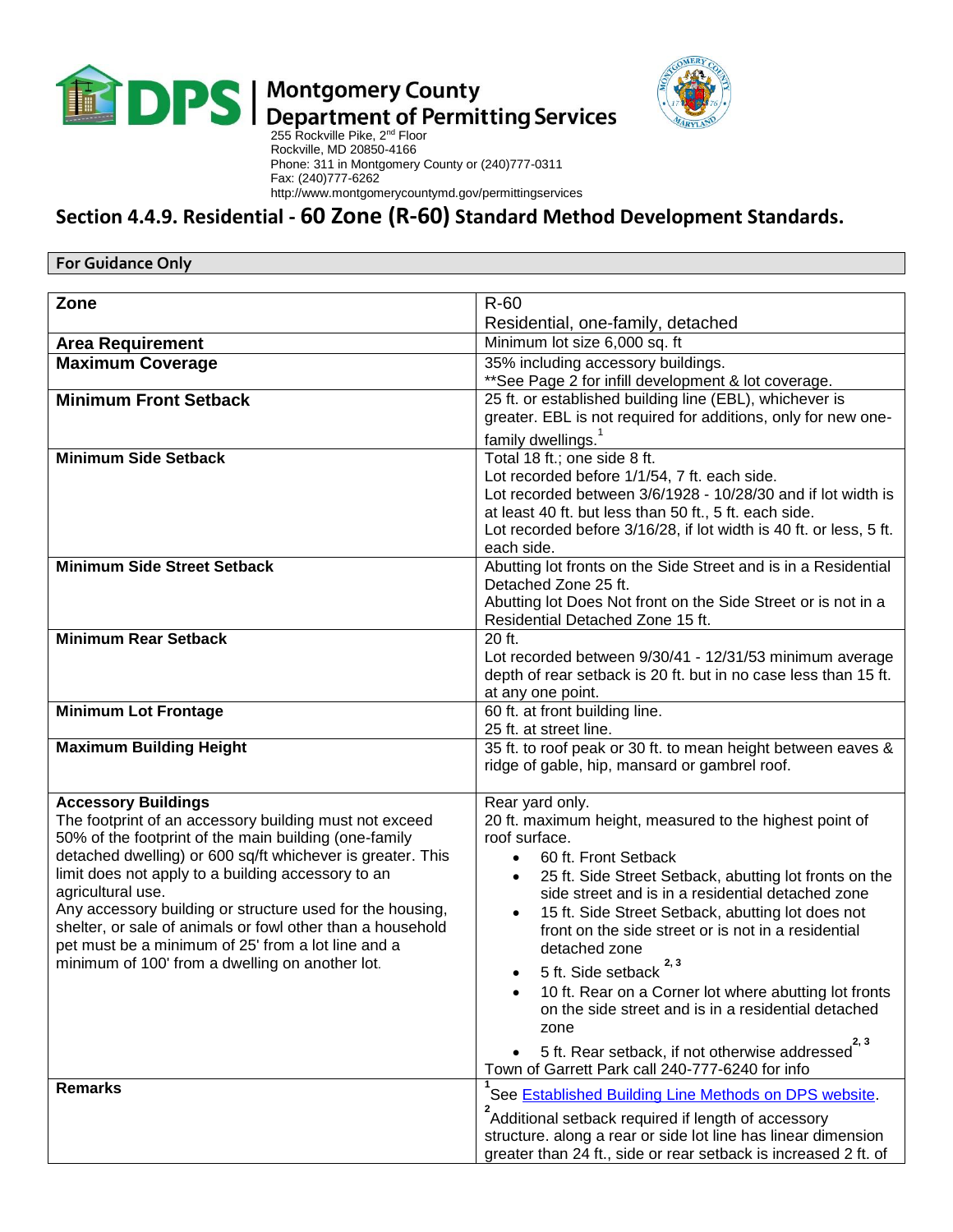

## $\blacksquare$  Department of Permitting Services<br>255 Rockville Pike, 2<sup>nd</sup> Floor



 Rockville, MD 20850-4166 Phone: 311 in Montgomery County or (240)777-0311 Fax: (240)777-6262 http://www.montgomerycountymd.gov/permittingservices

## **Section 4.4.9. Residential - 60 Zone (R-60) Standard Method Development Standards.**

| <b>For Guidance Only</b>                                                                                                |                                                                                                                            |  |
|-------------------------------------------------------------------------------------------------------------------------|----------------------------------------------------------------------------------------------------------------------------|--|
|                                                                                                                         |                                                                                                                            |  |
| Zone                                                                                                                    | $R-60$                                                                                                                     |  |
|                                                                                                                         | Residential, one-family, detached                                                                                          |  |
| <b>Area Requirement</b>                                                                                                 | Minimum lot size 6,000 sq. ft                                                                                              |  |
| <b>Maximum Coverage</b>                                                                                                 | 35% including accessory buildings.<br>** See Page 2 for infill development & lot coverage.                                 |  |
| <b>Minimum Front Setback</b>                                                                                            | 25 ft. or established building line (EBL), whichever is                                                                    |  |
|                                                                                                                         | greater. EBL is not required for additions, only for new one-                                                              |  |
|                                                                                                                         | family dwellings. <sup>1</sup>                                                                                             |  |
| <b>Minimum Side Setback</b>                                                                                             | Total 18 ft.; one side 8 ft.                                                                                               |  |
|                                                                                                                         | Lot recorded before 1/1/54, 7 ft. each side.                                                                               |  |
|                                                                                                                         | Lot recorded between 3/6/1928 - 10/28/30 and if lot width is                                                               |  |
|                                                                                                                         | at least 40 ft. but less than 50 ft., 5 ft. each side.                                                                     |  |
|                                                                                                                         | Lot recorded before 3/16/28, if lot width is 40 ft. or less, 5 ft.                                                         |  |
| <b>Minimum Side Street Setback</b>                                                                                      | each side.<br>Abutting lot fronts on the Side Street and is in a Residential                                               |  |
|                                                                                                                         | Detached Zone 25 ft.                                                                                                       |  |
|                                                                                                                         | Abutting lot Does Not front on the Side Street or is not in a                                                              |  |
|                                                                                                                         | Residential Detached Zone 15 ft.                                                                                           |  |
| <b>Minimum Rear Setback</b>                                                                                             | $20$ ft.                                                                                                                   |  |
|                                                                                                                         | Lot recorded between 9/30/41 - 12/31/53 minimum average<br>depth of rear setback is 20 ft. but in no case less than 15 ft. |  |
|                                                                                                                         | at any one point.                                                                                                          |  |
| <b>Minimum Lot Frontage</b>                                                                                             | 60 ft. at front building line.                                                                                             |  |
|                                                                                                                         | 25 ft. at street line.                                                                                                     |  |
| <b>Maximum Building Height</b>                                                                                          | 35 ft. to roof peak or 30 ft. to mean height between eaves &                                                               |  |
|                                                                                                                         | ridge of gable, hip, mansard or gambrel roof.                                                                              |  |
| <b>Accessory Buildings</b>                                                                                              |                                                                                                                            |  |
| The footprint of an accessory building must not exceed                                                                  | Rear yard only.<br>20 ft. maximum height, measured to the highest point of                                                 |  |
| 50% of the footprint of the main building (one-family                                                                   | roof surface.                                                                                                              |  |
| detached dwelling) or 600 sq/ft whichever is greater. This                                                              | 60 ft. Front Setback<br>$\bullet$                                                                                          |  |
| limit does not apply to a building accessory to an                                                                      | 25 ft. Side Street Setback, abutting lot fronts on the<br>$\bullet$                                                        |  |
| agricultural use.                                                                                                       | side street and is in a residential detached zone                                                                          |  |
| Any accessory building or structure used for the housing,<br>shelter, or sale of animals or fowl other than a household | 15 ft. Side Street Setback, abutting lot does not<br>$\bullet$<br>front on the side street or is not in a residential      |  |
| pet must be a minimum of 25' from a lot line and a                                                                      | detached zone                                                                                                              |  |
| minimum of 100' from a dwelling on another lot.                                                                         | 2, 3<br>5 ft. Side setback                                                                                                 |  |
|                                                                                                                         | 10 ft. Rear on a Corner lot where abutting lot fronts                                                                      |  |
|                                                                                                                         | on the side street and is in a residential detached                                                                        |  |
|                                                                                                                         | zone                                                                                                                       |  |
|                                                                                                                         | 2, 3<br>5 ft. Rear setback, if not otherwise addressed                                                                     |  |
|                                                                                                                         | Town of Garrett Park call 240-777-6240 for info                                                                            |  |
| <b>Remarks</b>                                                                                                          | See Established Building Line Methods on DPS website.                                                                      |  |
|                                                                                                                         | Additional setback required if length of accessory                                                                         |  |
|                                                                                                                         | structure. along a rear or side lot line has linear dimension                                                              |  |
|                                                                                                                         | greater than 24 ft., side or rear setback is increased 2 ft. of                                                            |  |